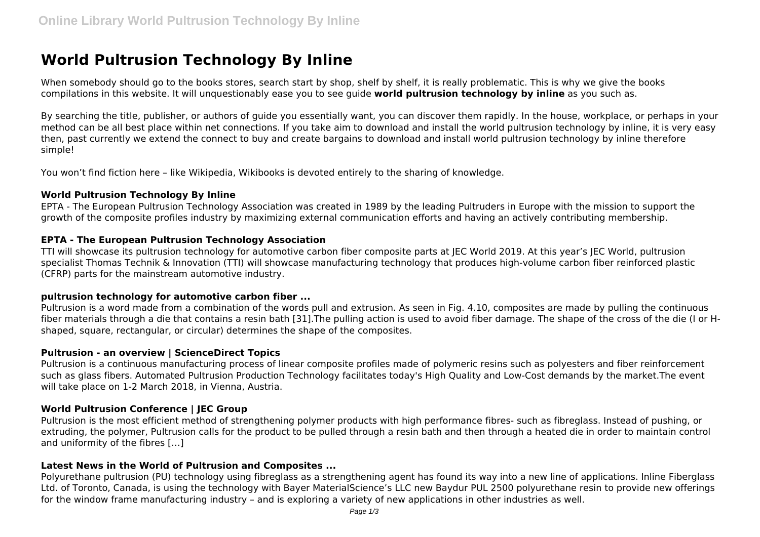# **World Pultrusion Technology By Inline**

When somebody should go to the books stores, search start by shop, shelf by shelf, it is really problematic. This is why we give the books compilations in this website. It will unquestionably ease you to see guide **world pultrusion technology by inline** as you such as.

By searching the title, publisher, or authors of guide you essentially want, you can discover them rapidly. In the house, workplace, or perhaps in your method can be all best place within net connections. If you take aim to download and install the world pultrusion technology by inline, it is very easy then, past currently we extend the connect to buy and create bargains to download and install world pultrusion technology by inline therefore simple!

You won't find fiction here – like Wikipedia, Wikibooks is devoted entirely to the sharing of knowledge.

# **World Pultrusion Technology By Inline**

EPTA - The European Pultrusion Technology Association was created in 1989 by the leading Pultruders in Europe with the mission to support the growth of the composite profiles industry by maximizing external communication efforts and having an actively contributing membership.

# **EPTA - The European Pultrusion Technology Association**

TTI will showcase its pultrusion technology for automotive carbon fiber composite parts at JEC World 2019. At this year's JEC World, pultrusion specialist Thomas Technik & Innovation (TTI) will showcase manufacturing technology that produces high-volume carbon fiber reinforced plastic (CFRP) parts for the mainstream automotive industry.

# **pultrusion technology for automotive carbon fiber ...**

Pultrusion is a word made from a combination of the words pull and extrusion. As seen in Fig. 4.10, composites are made by pulling the continuous fiber materials through a die that contains a resin bath [31].The pulling action is used to avoid fiber damage. The shape of the cross of the die (I or Hshaped, square, rectangular, or circular) determines the shape of the composites.

# **Pultrusion - an overview | ScienceDirect Topics**

Pultrusion is a continuous manufacturing process of linear composite profiles made of polymeric resins such as polyesters and fiber reinforcement such as glass fibers. Automated Pultrusion Production Technology facilitates today's High Quality and Low-Cost demands by the market.The event will take place on 1-2 March 2018, in Vienna, Austria.

# **World Pultrusion Conference | JEC Group**

Pultrusion is the most efficient method of strengthening polymer products with high performance fibres- such as fibreglass. Instead of pushing, or extruding, the polymer, Pultrusion calls for the product to be pulled through a resin bath and then through a heated die in order to maintain control and uniformity of the fibres […]

# **Latest News in the World of Pultrusion and Composites ...**

Polyurethane pultrusion (PU) technology using fibreglass as a strengthening agent has found its way into a new line of applications. Inline Fiberglass Ltd. of Toronto, Canada, is using the technology with Bayer MaterialScience's LLC new Baydur PUL 2500 polyurethane resin to provide new offerings for the window frame manufacturing industry – and is exploring a variety of new applications in other industries as well.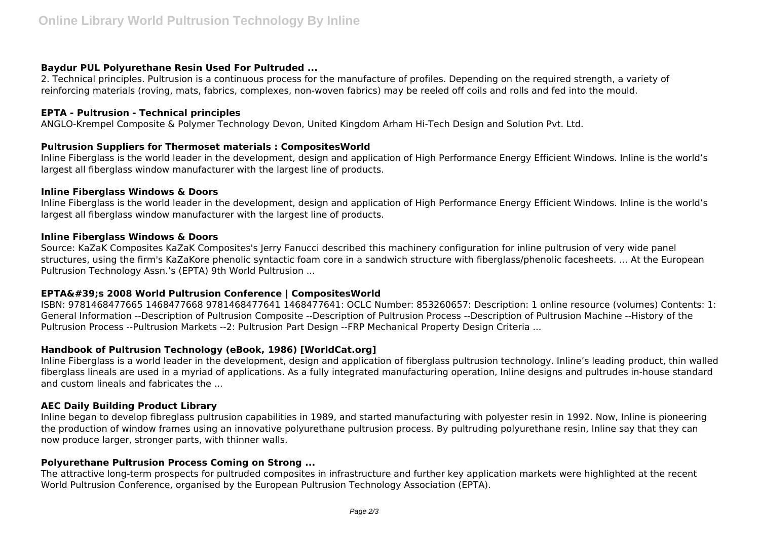# **Baydur PUL Polyurethane Resin Used For Pultruded ...**

2. Technical principles. Pultrusion is a continuous process for the manufacture of profiles. Depending on the required strength, a variety of reinforcing materials (roving, mats, fabrics, complexes, non-woven fabrics) may be reeled off coils and rolls and fed into the mould.

# **EPTA - Pultrusion - Technical principles**

ANGLO-Krempel Composite & Polymer Technology Devon, United Kingdom Arham Hi-Tech Design and Solution Pvt. Ltd.

# **Pultrusion Suppliers for Thermoset materials : CompositesWorld**

Inline Fiberglass is the world leader in the development, design and application of High Performance Energy Efficient Windows. Inline is the world's largest all fiberglass window manufacturer with the largest line of products.

# **Inline Fiberglass Windows & Doors**

Inline Fiberglass is the world leader in the development, design and application of High Performance Energy Efficient Windows. Inline is the world's largest all fiberglass window manufacturer with the largest line of products.

#### **Inline Fiberglass Windows & Doors**

Source: KaZaK Composites KaZaK Composites's Jerry Fanucci described this machinery configuration for inline pultrusion of very wide panel structures, using the firm's KaZaKore phenolic syntactic foam core in a sandwich structure with fiberglass/phenolic facesheets. ... At the European Pultrusion Technology Assn.'s (EPTA) 9th World Pultrusion ...

# **EPTA's 2008 World Pultrusion Conference | CompositesWorld**

ISBN: 9781468477665 1468477668 9781468477641 1468477641: OCLC Number: 853260657: Description: 1 online resource (volumes) Contents: 1: General Information --Description of Pultrusion Composite --Description of Pultrusion Process --Description of Pultrusion Machine --History of the Pultrusion Process --Pultrusion Markets --2: Pultrusion Part Design --FRP Mechanical Property Design Criteria ...

# **Handbook of Pultrusion Technology (eBook, 1986) [WorldCat.org]**

Inline Fiberglass is a world leader in the development, design and application of fiberglass pultrusion technology. Inline's leading product, thin walled fiberglass lineals are used in a myriad of applications. As a fully integrated manufacturing operation, Inline designs and pultrudes in-house standard and custom lineals and fabricates the ...

# **AEC Daily Building Product Library**

Inline began to develop fibreglass pultrusion capabilities in 1989, and started manufacturing with polyester resin in 1992. Now, Inline is pioneering the production of window frames using an innovative polyurethane pultrusion process. By pultruding polyurethane resin, Inline say that they can now produce larger, stronger parts, with thinner walls.

# **Polyurethane Pultrusion Process Coming on Strong ...**

The attractive long-term prospects for pultruded composites in infrastructure and further key application markets were highlighted at the recent World Pultrusion Conference, organised by the European Pultrusion Technology Association (EPTA).